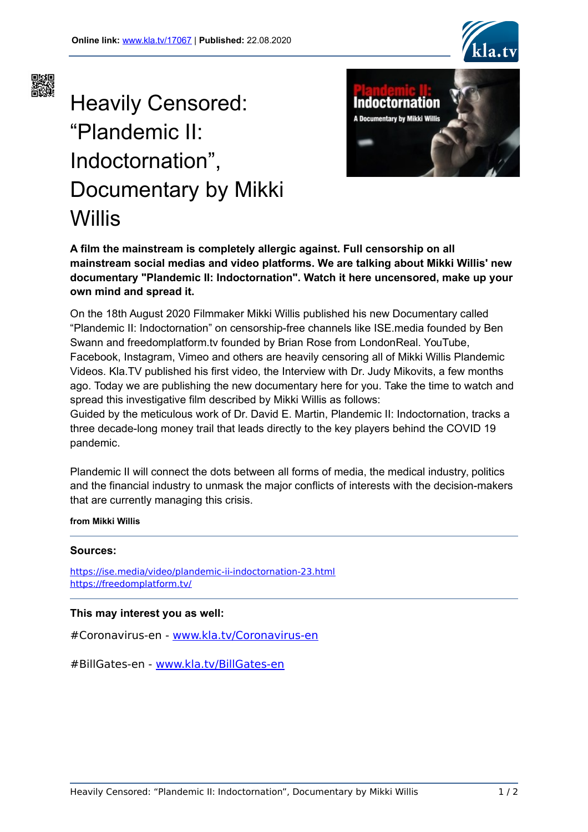



# Heavily Censored: "Plandemic II: Indoctornation", Documentary by Mikki Willis



**A film the mainstream is completely allergic against. Full censorship on all mainstream social medias and video platforms. We are talking about Mikki Willis' new documentary "Plandemic II: Indoctornation". Watch it here uncensored, make up your own mind and spread it.**

On the 18th August 2020 Filmmaker Mikki Willis published his new Documentary called "Plandemic II: Indoctornation" on censorship-free channels like ISE.media founded by Ben Swann and freedomplatform.tv founded by Brian Rose from LondonReal. YouTube, Facebook, Instagram, Vimeo and others are heavily censoring all of Mikki Willis Plandemic Videos. Kla.TV published his first video, the Interview with Dr. Judy Mikovits, a few months ago. Today we are publishing the new documentary here for you. Take the time to watch and spread this investigative film described by Mikki Willis as follows:

Guided by the meticulous work of Dr. David E. Martin, Plandemic II: Indoctornation, tracks a three decade-long money trail that leads directly to the key players behind the COVID 19 pandemic.

Plandemic II will connect the dots between all forms of media, the medical industry, politics and the financial industry to unmask the major conflicts of interests with the decision-makers that are currently managing this crisis.

**from Mikki Willis**

#### **Sources:**

<https://ise.media/video/plandemic-ii-indoctornation-23.html> <https://freedomplatform.tv/>

#### **This may interest you as well:**

#Coronavirus-en - [www.kla.tv/Coronavirus-en](https://www.kla.tv/Coronavirus-en)

#BillGates-en - [www.kla.tv/BillGates-en](https://www.kla.tv/BillGates-en)